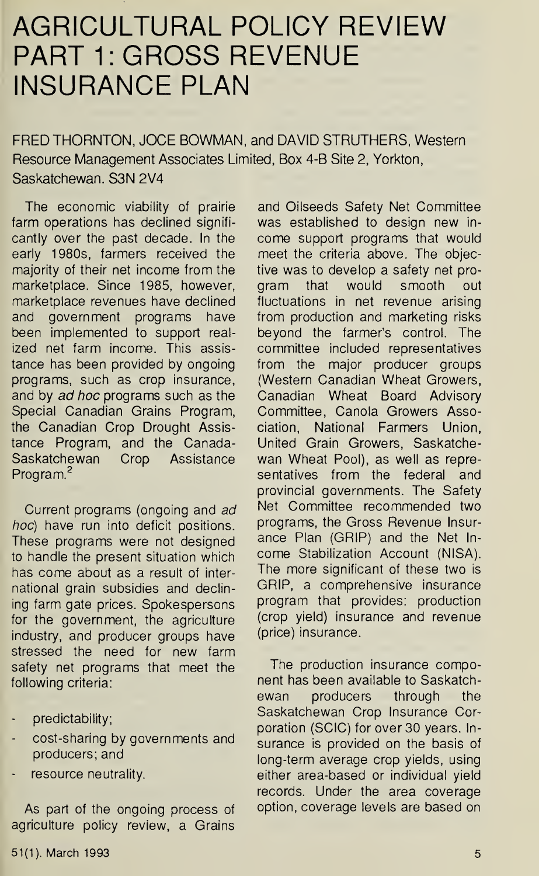## AGRICULTURAL POLICY REVIEW PART 1: GROSS REVENUE INSURANCE PLAN

FRED THORNTON, JOCE BOWMAN, and DAVID STRUTHERS, Western Resource Management Associates Limited, Box 4-B Site 2, Yorkton, Saskatchewan. S3N 2V4

The economic viability of prairie farm operations has declined significantly over the past decade. In the early 1980s, farmers received the majority of their net income from the marketplace. Since 1985, however, marketplace revenues have declined and government programs have been implemented to support realized net farm income. This assistance has been provided by ongoing programs, such as crop insurance, and by ad hoc programs such as the Special Canadian Grains Program, the Canadian Crop Drought Assistance Program, and the Canada-Saskatchewan Crop Assistance Program.<sup>2</sup>

Current programs (ongoing and ad hoc) have run into deficit positions. These programs were not designed to handle the present situation which has come about as a result of international grain subsidies and declining farm gate prices. Spokespersons for the government, the agriculture industry, and producer groups have stressed the need for new farm safety net programs that meet the following criteria:

- predictability;
- cost-sharing by governments and producers; and
- resource neutrality.

As part of the ongoing process of agriculture policy review, a Grains

and Oilseeds Safety Net Committee was established to design new income support programs that would meet the criteria above. The objective was to develop a safety net program that would smooth out fluctuations in net revenue arising from production and marketing risks beyond the farmer's control. The committee included representatives from the major producer groups (Western Canadian Wheat Growers, Canadian Wheat Board Advisory Committee, Canola Growers Association, National Farmers Union, United Grain Growers, Saskatchewan Wheat Pool), as well as representatives from the federal and provincial governments. The Safety Net Committee recommended two programs, the Gross Revenue Insurance Plan (GRIP) and the Net Income Stabilization Account (NISA). The more significant of these two is GRIP, a comprehensive insurance program that provides: production (crop yield) insurance and revenue (price) insurance.

The production insurance component has been available to Saskatchewan producers through the Saskatchewan Crop Insurance Corporation (SCIC) for over 30 years. Insurance is provided on the basis of long-term average crop yields, using either area-based or individual yield records. Under the area coverage option, coverage levels are based on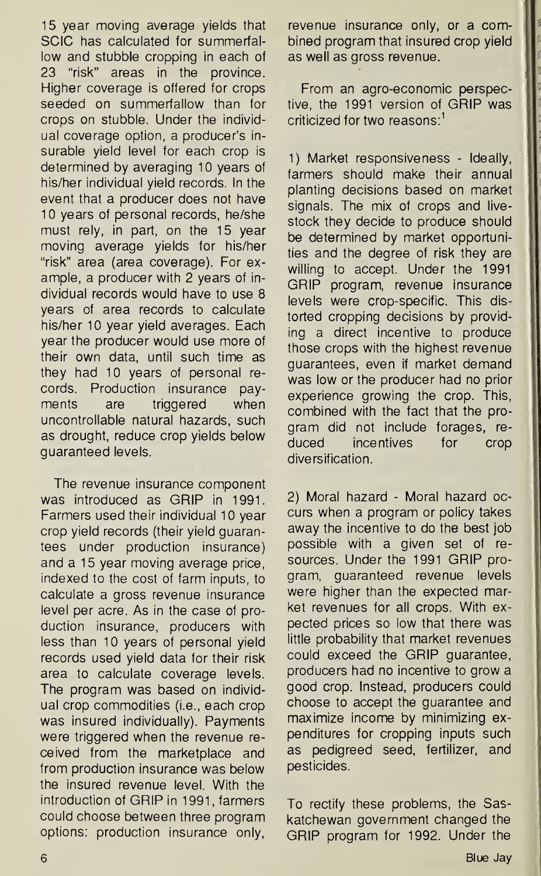15 year moving average yields that SCIC has calculated for summerfallow and stubble cropping in each of 23 "risk" areas in the province. Higher coverage is offered for crops seeded on summerfallow than for crops on stubble. Under the individual coverage option, a producer's insurable yield level for each crop is determined by averaging 10 years of his/her individual yield records. In the event that a producer does not have 10 years of personal records, he/she must rely, in part, on the 15 year moving average yields for his/her "risk" area (area coverage). For example, a producer with 2 years of individual records would have to use 8 years of area records to calculate his/her 10 year yield averages. Each year the producer would use more of their own data, until such time as they had 10 years of personal records. Production insurance payments are triggered when uncontrollable natural hazards, such as drought, reduce crop yields below guaranteed levels.

The revenue insurance component was introduced as GRIP in 1991. Farmers used their individual 10 year crop yield records (their yield guarantees under production insurance) and a 15 year moving average price, indexed to the cost of farm inputs, to calculate a gross revenue insurance level per acre. As in the case of production insurance, producers with less than 10 years of personal yield records used yield data for their risk area to calculate coverage levels. The program was based on individual crop commodities (i.e., each crop was insured individually). Payments were triggered when the revenue received from the marketplace and from production insurance was below the insured revenue level. With the introduction of GRIP in 1991, farmers could choose between three program options: production insurance only,

revenue insurance only, or a combined program that insured crop yield as well as gross revenue.

From an agro-economic perspective, the 1991 version of GRIP was criticized for two reasons:<sup>1</sup>

1) Market responsiveness - Ideally, farmers should make their annual planting decisions based on market signals. The mix of crops and livestock they decide to produce should be determined by market opportunities and the degree of risk they are willing to accept. Under the 1991 GRIP program, revenue insurance levels were crop-specific. This distorted cropping decisions by providing a direct incentive to produce those crops with the highest revenue guarantees, even if market demand was low or the producer had no prior experience growing the crop. This, combined with the fact that the program did not include forages, reduced incentives for crop diversification.

2) Moral hazard - Moral hazard occurs when a program or policy takes away the incentive to do the best job possible with a given set of resources. Under the 1991 GRIP program, guaranteed revenue levels were higher than the expected market revenues for all crops. With expected prices so low that there was little probability that market revenues could exceed the GRIP guarantee, producers had no incentive to grow a good crop. Instead, producers could choose to accept the guarantee and maximize income by minimizing expenditures for cropping inputs such as pedigreed seed, fertilizer, and pesticides.

To rectify these problems, the Saskatchewan government changed the GRIP program for 1992. Under the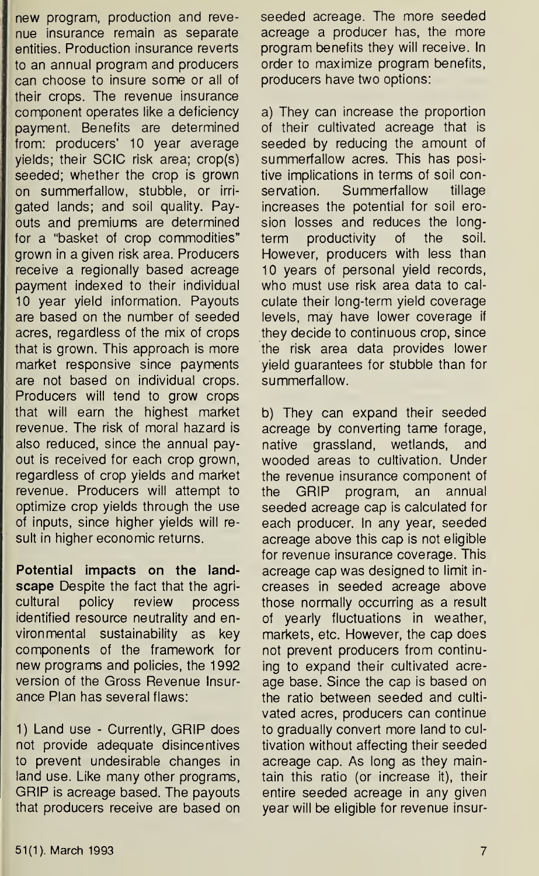new program, production and revenue insurance remain as separate entities. Production insurance reverts to an annual program and producers can choose to insure some or all of their crops. The revenue insurance component operates like a deficiency payment. Benefits are determined from: producers' 10 year average yields; their SCIC risk area; crop(s) seeded; whether the crop is grown on summerfallow, stubble, or irrigated lands; and soil quality. Payouts and premiums are determined for a "basket of crop commodities" grown in a given risk area. Producers receive a regionally based acreage payment indexed to their individual 10 year yield information. Payouts are based on the number of seeded acres, regardless of the mix of crops that is grown. This approach is more market responsive since payments are not based on individual crops. Producers will tend to grow crops that will earn the highest market revenue. The risk of moral hazard is also reduced, since the annual payout is received for each crop grown, regardless of crop yields and market revenue. Producers will attempt to optimize crop yields through the use of inputs, since higher yields will result in higher economic returns.

Potential impacts on the landscape Despite the fact that the agricultural policy review process identified resource neutrality and environmental sustainability as key components of the framework for new programs and policies, the 1992 version of the Gross Revenue Insurance Plan has several flaws:

1) Land use - Currently, GRIP does not provide adequate disincentives to prevent undesirable changes in land use. Like many other programs, GRIP is acreage based. The payouts that producers receive are based on

seeded acreage. The more seeded acreage a producer has, the more program benefits they will receive. In order to maximize program benefits, producers have two options:

a) They can increase the proportion of their cultivated acreage that is seeded by reducing the amount of summerfallow acres. This has positive implications in terms of soil conservation. Summerfallow tillage increases the potential for soil erosion losses and reduces the longterm productivity of the soil. However, producers with less than 10 years of personal yield records, who must use risk area data to calculate their long-term yield coverage levels, may have lower coverage if they decide to continuous crop, since the risk area data provides lower yield guarantees for stubble than for summerfallow.

b) They can expand their seeded acreage by converting tame forage, native grassland, wetlands, and wooded areas to cultivation. Under the revenue insurance component of the GRIP program, an annual seeded acreage cap is calculated for each producer. In any year, seeded acreage above this cap is not eligible for revenue insurance coverage. This acreage cap was designed to limit increases in seeded acreage above those normally occurring as a result of yearly fluctuations in weather, markets, etc. However, the cap does not prevent producers from continuing to expand their cultivated acreage base. Since the cap is based on the ratio between seeded and cultivated acres, producers can continue to gradually convert more land to cultivation without affecting their seeded acreage cap. As long as they maintain this ratio (or increase it), their entire seeded acreage in any given year will be eligible for revenue insur-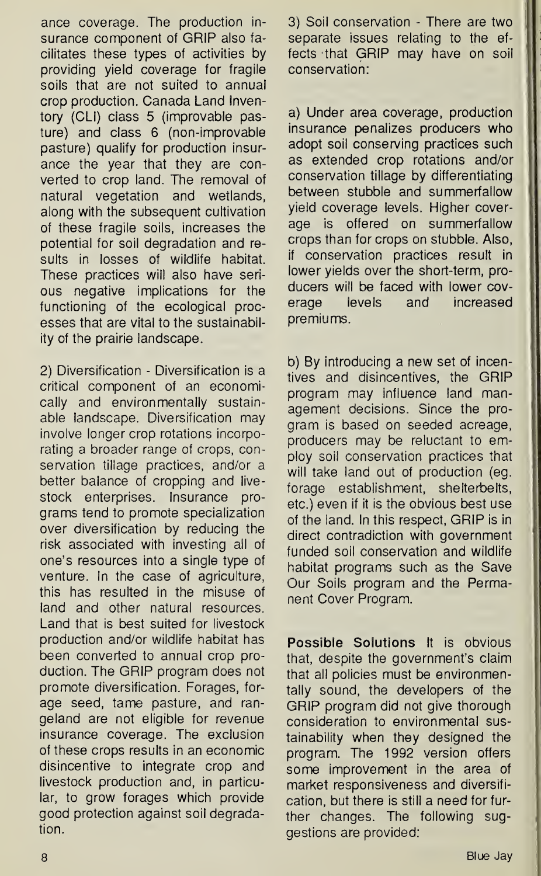ance coverage. The production insurance component of GRIP also facilitates these types of activities by providing yield coverage for fragile soils that are not suited to annual crop production. Canada Land Inventory (CLI) class 5 (improvable pasture) and class 6 (non-improvable pasture) qualify for production insurance the year that they are converted to crop land. The removal of natural vegetation and wetlands, along with the subsequent cultivation of these fragile soils, increases the potential for soil degradation and results in losses of wildlife habitat. These practices will also have serious negative implications for the functioning of the ecological processes that are vital to the sustainability of the prairie landscape.

2) Diversification - Diversification is a critical component of an economically and environmentally sustainable landscape. Diversification may involve longer crop rotations incorporating a broader range of crops, conservation tillage practices, and/or a better balance of cropping and livestock enterprises. Insurance programs tend to promote specialization over diversification by reducing the risk associated with investing all of one's resources into a single type of venture. In the case of agriculture, this has resulted in the misuse of land and other natural resources. Land that is best suited for livestock production and/or wildlife habitat has been converted to annual crop production. The GRIP program does not promote diversification. Forages, forage seed, tame pasture, and rangeland are not eligible for revenue insurance coverage. The exclusion of these crops results in an economic disincentive to integrate crop and livestock production and, in particular, to grow forages which provide good protection against soil degradation.

3) Soil conservation - There are two separate issues relating to the effects that GRIP may have on soil conservation:

a) Under area coverage, production insurance penalizes producers who adopt soil conserving practices such as extended crop rotations and/or conservation tillage by differentiating between stubble and summerfallow yield coverage levels. Higher coverage is offered on summerfallow crops than for crops on stubble. Also, if conservation practices result in lower yields over the short-term, producers will be faced with lower coverage levels and increased premiums.

b) By introducing a new set of incentives and disincentives, the GRIP program may influence land management decisions. Since the program is based on seeded acreage, producers may be reluctant to em ploy soil conservation practices that will take land out of production (eg. forage establishment, shelterbelts, etc.) even if it is the obvious best use of the land. In this respect, GRIP is in direct contradiction with government funded soil conservation and wildlife habitat programs such as the Save Our Soils program and the Permanent Cover Program.

Possible Solutions It is obvious that, despite the government's claim that all policies must be environmen tally sound, the developers of the GRIP program did not give thorough consideration to environmental sustainability when they designed the program. The 1992 version offers some improvement in the area of market responsiveness and diversification, but there is still a need for further changes. The following suggestions are provided: